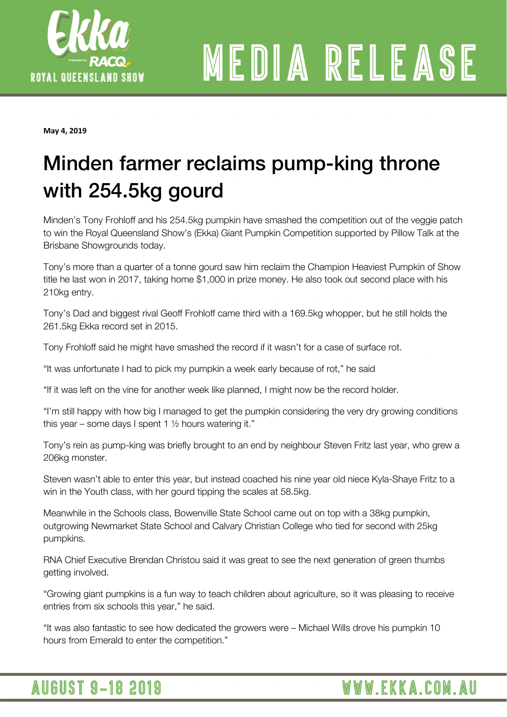

# MEDIA RELEASE

**May 4, 2019** 

### Minden farmer reclaims pump-king throne with 254.5kg gourd

Minden's Tony Frohloff and his 254.5kg pumpkin have smashed the competition out of the veggie patch to win the Royal Queensland Show's (Ekka) Giant Pumpkin Competition supported by Pillow Talk at the Brisbane Showgrounds today.

Tony's more than a quarter of a tonne gourd saw him reclaim the Champion Heaviest Pumpkin of Show title he last won in 2017, taking home \$1,000 in prize money. He also took out second place with his 210kg entry.

Tony's Dad and biggest rival Geoff Frohloff came third with a 169.5kg whopper, but he still holds the 261.5kg Ekka record set in 2015.

Tony Frohloff said he might have smashed the record if it wasn't for a case of surface rot.

"It was unfortunate I had to pick my pumpkin a week early because of rot," he said

"If it was left on the vine for another week like planned, I might now be the record holder.

"I'm still happy with how big I managed to get the pumpkin considering the very dry growing conditions this year – some days I spent 1  $\frac{1}{2}$  hours watering it."

Tony's rein as pump-king was briefly brought to an end by neighbour Steven Fritz last year, who grew a 206kg monster.

Steven wasn't able to enter this year, but instead coached his nine year old niece Kyla-Shaye Fritz to a win in the Youth class, with her gourd tipping the scales at 58.5kg.

Meanwhile in the Schools class, Bowenville State School came out on top with a 38kg pumpkin, outgrowing Newmarket State School and Calvary Christian College who tied for second with 25kg pumpkins.

RNA Chief Executive Brendan Christou said it was great to see the next generation of green thumbs getting involved.

"Growing giant pumpkins is a fun way to teach children about agriculture, so it was pleasing to receive entries from six schools this year," he said.

WWW.EKKA.COM.AU

"It was also fantastic to see how dedicated the growers were – Michael Wills drove his pumpkin 10 hours from Emerald to enter the competition."

### **AUGUST 9-18 2019**